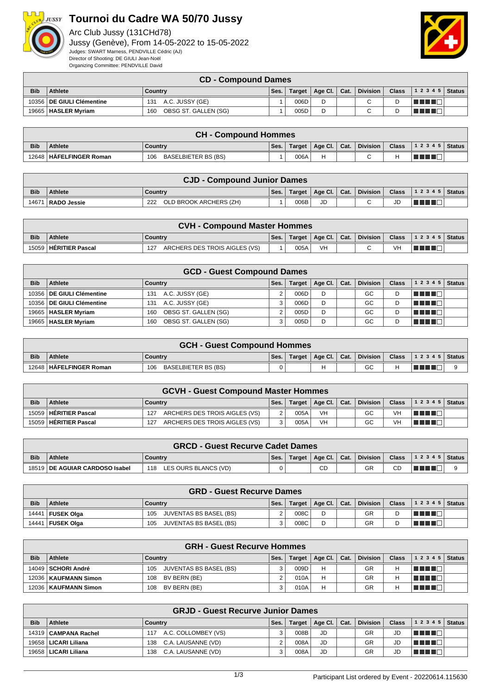

## **Tournoi du Cadre WA 50/70 Jussy**

Arc Club Jussy (131CHd78) Jussy (Genève), From 14-05-2022 to 15-05-2022 Judges: SWART Marness, PENDVILLE Cédric (AJ) Director of Shooting: DE GIULI Jean-Noël Organizing Committee: PENDVILLE David



## **CD - Compound Dames**

|            |                             | --                          |      |        |         |      |                 |              |                    |  |
|------------|-----------------------------|-----------------------------|------|--------|---------|------|-----------------|--------------|--------------------|--|
| <b>Bib</b> | <b>Athlete</b>              | Country                     | Ses. | Target | Age Cl. | Cat. | <b>Division</b> | <b>Class</b> | 1 2 3 4 5   Status |  |
|            | 10356   DE GIULI Clémentine | A.C. JUSSY (GE)<br>131      |      | 006D   |         |      | ⌒               |              |                    |  |
|            | 19665   HASLER Myriam       | OBSG ST. GALLEN (SG)<br>160 |      | 005D   |         |      | $\sim$          |              |                    |  |

|            | <b>CH - Compound Hommes</b> |                            |      |        |                |  |          |              |                  |  |  |
|------------|-----------------------------|----------------------------|------|--------|----------------|--|----------|--------------|------------------|--|--|
| <b>Bib</b> | <b>Athlete</b>              | Country                    | Ses. | Target | Age Cl.   Cat. |  | Division | <b>Class</b> | $ 12345 $ Status |  |  |
|            | 12648   HÄFELFINGER Roman   | BASELBIETER BS (BS)<br>106 |      | 006A   |                |  | $\sim$   |              |                  |  |  |

|            | <b>CJD - Compound Junior Dames</b> |                               |      |      |                         |  |          |              |                              |  |  |
|------------|------------------------------------|-------------------------------|------|------|-------------------------|--|----------|--------------|------------------------------|--|--|
| <b>Bib</b> | <b>Athlete</b>                     | Country                       | Ses. |      | Target   Age Cl.   Cat. |  | Division | <b>Class</b> | $1 \t2 \t3 \t4 \t5$   Status |  |  |
| 14671      | RADO Jessie                        | OLD BROOK ARCHERS (ZH)<br>222 |      | 006B | JD                      |  | ⌒        | JD           |                              |  |  |

|            | <b>CVH - Compound Master Hommes</b> |                                      |      |        |                                      |  |          |    |                                |  |  |  |
|------------|-------------------------------------|--------------------------------------|------|--------|--------------------------------------|--|----------|----|--------------------------------|--|--|--|
| <b>Bib</b> | <b>Athlete</b>                      | Country                              | Ses. | Target | $\parallel$ Age Cl. $\parallel$ Cat. |  | Division |    | Class $\vert$ 1 2 3 4 5 Status |  |  |  |
|            | 15059   HÉRITIER Pascal             | ARCHERS DES TROIS AIGLES (VS)<br>127 |      | 005A   | VH                                   |  |          | VH |                                |  |  |  |

|            |                             | <b>GCD - Guest Compound Dames</b> |      |               |         |      |                 |              |        |               |
|------------|-----------------------------|-----------------------------------|------|---------------|---------|------|-----------------|--------------|--------|---------------|
| <b>Bib</b> | Athlete                     | Country                           | Ses. | <b>Target</b> | Age Cl. | Cat. | <b>Division</b> | <b>Class</b> | 12345  | <b>Status</b> |
|            | 10356   DE GIULI Clémentine | A.C. JUSSY (GE)<br>131            | 2    | 006D          | D       |      | GC              |              | TELET  |               |
|            | 10356 DE GIULI Clémentine   | A.C. JUSSY (GE)<br>131            | વ    | 006D          | D       |      | GC              |              |        |               |
|            | 19665   HASLER Myriam       | OBSG ST. GALLEN (SG)<br>160       |      | 005D          | D       |      | GC              |              | TE E E |               |
|            | 19665   HASLER Myriam       | OBSG ST. GALLEN (SG)<br>160       | ર    | 005D          | D       |      | GC              |              |        |               |

|            | <b>GCH - Guest Compound Hommes</b> |                            |      |        |                 |                  |          |  |                               |  |  |  |
|------------|------------------------------------|----------------------------|------|--------|-----------------|------------------|----------|--|-------------------------------|--|--|--|
| <b>Bib</b> | <b>Athlete</b>                     | Country                    | Ses. | Target | Age Cl. $\vert$ | $\mathsf{Cat}$ . | Division |  | <b>Class</b> $ 12345 $ Status |  |  |  |
|            | 12648   HÄFELFINGER Roman          | BASELBIETER BS (BS)<br>106 | 0    |        |                 |                  | GC       |  |                               |  |  |  |

|            | <b>GCVH - Guest Compound Master Hommes</b> |                                      |      |        |                              |  |                 |              |                |  |  |
|------------|--------------------------------------------|--------------------------------------|------|--------|------------------------------|--|-----------------|--------------|----------------|--|--|
| <b>Bib</b> | <b>Athlete</b>                             | Country                              | Ses. | Target | $\vert$ Age Cl. $\vert$ Cat. |  | <b>Division</b> | <b>Class</b> | $12345$ Status |  |  |
|            | 15059   HÉRITIER Pascal                    | ARCHERS DES TROIS AIGLES (VS)<br>127 |      | 005A   | VH                           |  | GC              | <b>VH</b>    | TITITI         |  |  |
|            | 15059   HERITIER Pascal                    | ARCHERS DES TROIS AIGLES (VS)<br>127 |      | 005A   | VH                           |  | GC              | VH           |                |  |  |

|            | <b>GRCD - Guest Recurve Cadet Dames</b> |                             |      |        |                |  |                 |              |                |  |  |
|------------|-----------------------------------------|-----------------------------|------|--------|----------------|--|-----------------|--------------|----------------|--|--|
| <b>Bib</b> | Athlete                                 | Country                     | Ses. | Target | Age Cl.   Cat. |  | <b>Division</b> | <b>Class</b> | $12345$ Status |  |  |
|            | 18519   DE AGUIAR CARDOSO Isabel        | LES OURS BLANCS (VD)<br>118 | 0.   |        | CD             |  | GR              | СC           |                |  |  |

|            | <b>GRD - Guest Recurve Dames</b> |                               |      |        |                |  |                 |              |                |  |  |
|------------|----------------------------------|-------------------------------|------|--------|----------------|--|-----------------|--------------|----------------|--|--|
| <b>Bib</b> | Athlete                          | Country                       | Ses. | Target | Age Cl.   Cat. |  | <b>Division</b> | <b>Class</b> | $12345$ Status |  |  |
| 14441      | <b>FUSEK Olga</b>                | JUVENTAS BS BASEL (BS)<br>105 |      | 008C   |                |  | GR              |              | n di k         |  |  |
| 14441      | <b>FUSEK Olga</b>                | JUVENTAS BS BASEL (BS)<br>105 |      | 008C   |                |  | GR              |              |                |  |  |

|            | <b>GRH - Guest Recurve Hommes</b> |                               |      |        |         |      |                 |       |           |               |  |  |
|------------|-----------------------------------|-------------------------------|------|--------|---------|------|-----------------|-------|-----------|---------------|--|--|
| <b>Bib</b> | <b>Athlete</b>                    | Country                       | Ses. | Target | Age Cl. | Cat. | <b>Division</b> | Class | 1 2 3 4 5 | <b>Status</b> |  |  |
|            | 14049   SCHORI André              | JUVENTAS BS BASEL (BS)<br>105 | າ    | 009D   | н       |      | GR              | н     | TE E E    |               |  |  |
|            | 12036   KAUFMANN Simon            | BV BERN (BE)<br>108           |      | 010A   |         |      | GR              | Н     | T FIFTI   |               |  |  |
|            | 12036   KAUFMANN Simon            | BV BERN (BE)<br>108           |      | 010A   | н       |      | GR              | Н     |           |               |  |  |

|            | <b>GRJD - Guest Recurve Junior Dames</b> |                            |      |        |                      |  |                 |              |               |               |  |  |
|------------|------------------------------------------|----------------------------|------|--------|----------------------|--|-----------------|--------------|---------------|---------------|--|--|
| <b>Bib</b> | <b>Athlete</b>                           | Country                    | Ses. | Target | Age Cl. $\vert$ Cat. |  | <b>Division</b> | <b>Class</b> | 12345         | <b>Status</b> |  |  |
|            | 14319   CAMPANA Rachel                   | A.C. COLLOMBEY (VS)<br>117 |      | 008B   | JD                   |  | GR              | JD           | TE DE L       |               |  |  |
|            | 19658   LICARI Liliana                   | C.A. LAUSANNE (VD)<br>138  |      | 008A   | JD                   |  | GR              | JD           | T FI FI FI FI |               |  |  |
|            | 19658   LICARI Liliana                   | C.A. LAUSANNE (VD)<br>138  |      | 008A   | JD                   |  | GR              | JD           |               |               |  |  |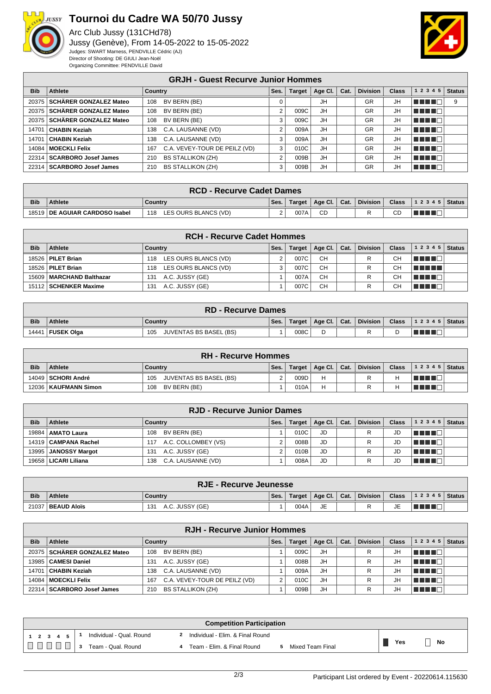

## **Tournoi du Cadre WA 50/70 Jussy**

Arc Club Jussy (131CHd78) Jussy (Genève), From 14-05-2022 to 15-05-2022 Judges: SWART Marness, PENDVILLE Cédric (AJ) Director of Shooting: DE GIULI Jean-Noël Organizing Committee: PENDVILLE David



|            |                                | <b>GRJH - Guest Recurve Junior Hommes</b> |      |               |         |      |                 |              |             |               |
|------------|--------------------------------|-------------------------------------------|------|---------------|---------|------|-----------------|--------------|-------------|---------------|
| <b>Bib</b> | Athlete                        | Country                                   | Ses. | <b>Target</b> | Age CI. | Cat. | <b>Division</b> | <b>Class</b> | 1 2 3 4 5   | <b>Status</b> |
|            | 20375   SCHÄRER GONZALEZ Mateo | BV BERN (BE)<br>108                       |      |               | JH      |      | <b>GR</b>       | JH           | TELTI       | 9             |
|            | 20375   SCHÄRER GONZALEZ Mateo | BV BERN (BE)<br>108                       | ົ    | 009C          | JH      |      | <b>GR</b>       | JH           | un din Ek   |               |
|            | 20375   SCHÄRER GONZALEZ Mateo | BV BERN (BE)<br>108                       | 3    | 009C          | JH      |      | <b>GR</b>       | JH           | TITITI      |               |
| 14701      | <b>CHABIN Keziah</b>           | C.A. LAUSANNE (VD)<br>138                 | ີ    | 009A          | JH      |      | <b>GR</b>       | JH           | TI TITLE    |               |
|            | 14701   CHABIN Keziah          | C.A. LAUSANNE (VD)<br>138                 | 3    | 009A          | JH      |      | <b>GR</b>       | JH           | a di Biblio |               |
|            | 14084   MOECKLI Felix          | C.A. VEVEY-TOUR DE PEILZ (VD)<br>167      | 3    | 010C          | JH      |      | <b>GR</b>       | JH           | T DE L'I    |               |
|            | 22314   SCARBORO Josef James   | <b>BS STALLIKON (ZH)</b><br>210           | 2    | 009B          | JH      |      | <b>GR</b>       | JH           | TELE        |               |
|            | 22314   SCARBORO Josef James   | <b>BS STALLIKON (ZH)</b><br>210           | 3    | 009B          | JH      |      | <b>GR</b>       | JH.          | T DE L'I    |               |

|            | <b>RCD - Recurve Cadet Dames</b>                                                      |                             |   |      |    |  |          |       |                  |  |
|------------|---------------------------------------------------------------------------------------|-----------------------------|---|------|----|--|----------|-------|------------------|--|
| <b>Bib</b> | $\parallel$ Age Cl. $\parallel$ Cat.<br><b>Athlete</b><br>Ses.<br>Target  <br>Country |                             |   |      |    |  | Division | Class | $ 12345 $ Status |  |
|            | 18519 DE AGUIAR CARDOSO Isabel                                                        | LES OURS BLANCS (VD)<br>118 | ົ | 007A | CD |  |          | CD    |                  |  |

|            | <b>RCH - Recurve Cadet Hommes</b> |                             |      |               |           |      |                 |              |           |               |  |
|------------|-----------------------------------|-----------------------------|------|---------------|-----------|------|-----------------|--------------|-----------|---------------|--|
| <b>Bib</b> | Athlete                           | Country                     | Ses. | <b>Target</b> | Age Cl.   | Cat. | <b>Division</b> | <b>Class</b> | 1 2 3 4 5 | <b>Status</b> |  |
|            | 18526   PILET Brian               | LES OURS BLANCS (VD)<br>118 |      | 007C          | <b>CH</b> |      |                 | СH           | TELELL    |               |  |
|            | 18526   PILET Brian               | LES OURS BLANCS (VD)<br>118 |      | 007C          | <b>CH</b> |      |                 | CН           | TE ELE    |               |  |
|            | 15609   MARCHAND Balthazar        | A.C. JUSSY (GE)<br>131      |      | 007A          | <b>CH</b> |      |                 | СH           | a na m    |               |  |
|            | 15112   SCHENKER Maxime           | A.C. JUSSY (GE)<br>131      |      | 007C          | <b>CH</b> |      |                 | CН           | T F F F   |               |  |

|            | <b>RD - Recurve Dames</b> |                                      |      |        |              |  |                 |              |                                |  |
|------------|---------------------------|--------------------------------------|------|--------|--------------|--|-----------------|--------------|--------------------------------|--|
| <b>Bib</b> | <b>Athlete</b>            | Country                              | Ses. | Target | Age Cl. Cat. |  | <b>Division</b> | <b>Class</b> | $\frac{1}{2}$ 1 2 3 4 5 Status |  |
| 14441      | <b>I FUSEK Olga</b>       | <b>JUVENTAS BS BASEL (BS)</b><br>105 |      | 008C   | D            |  |                 |              |                                |  |

|            | <b>RH - Recurve Hommes</b> |                               |      |        |                |  |                 |              |                |  |  |
|------------|----------------------------|-------------------------------|------|--------|----------------|--|-----------------|--------------|----------------|--|--|
| <b>Bib</b> | <b>Athlete</b>             | Countrv                       | Ses. | Target | Age Cl.   Cat. |  | <b>Division</b> | <b>Class</b> | $12345$ Status |  |  |
|            | 14049   SCHORI André       | JUVENTAS BS BASEL (BS)<br>105 |      | 009D   | н              |  |                 | Н            |                |  |  |
|            | 12036   KAUFMANN Simon     | BV BERN (BE)<br>108           |      | 010A   |                |  |                 | Н            |                |  |  |

|            | <b>RJD - Recurve Junior Dames</b> |                            |      |               |         |      |                 |              |                        |  |  |
|------------|-----------------------------------|----------------------------|------|---------------|---------|------|-----------------|--------------|------------------------|--|--|
| <b>Bib</b> | <b>Athlete</b>                    | Country                    | Ses. | <b>Target</b> | Age Cl. | Cat. | <b>Division</b> | <b>Class</b> | $1\ 2\ 3\ 4\ 5$ Status |  |  |
| 19884      | AMATO Laura                       | BV BERN (BE)<br>108        |      | 010C          | JD      |      |                 | JD           | TE E E                 |  |  |
|            | 14319   CAMPANA Rachel            | A.C. COLLOMBEY (VS)<br>117 |      | 008B          | JD      |      |                 | JD           | TE DE L                |  |  |
|            | 13995   JANOSSY Margot            | A.C. JUSSY (GE)<br>131     |      | 010B          | JD      |      |                 | JD           | THE LE                 |  |  |
| 19658 l    | LICARI Liliana                    | C.A. LAUSANNE (VD)<br>138  |      | 008A          | JD      |      |                 | JD           | TETO                   |  |  |

|            | <b>RJE - Recurve Jeunesse</b>                                                                                                          |                        |  |      |           |  |  |    |  |  |
|------------|----------------------------------------------------------------------------------------------------------------------------------------|------------------------|--|------|-----------|--|--|----|--|--|
| <b>Bib</b> | ∣ Division <i>'</i><br>  1 2 3 4 5   Status  <br>Class,<br>$\mid$ Age Cl. $\mid$ Cat.<br>Ses.<br><b>Athlete</b><br>Target  <br>Country |                        |  |      |           |  |  |    |  |  |
|            | 21037   BEAUD Aloïs                                                                                                                    | A.C. JUSSY (GE)<br>131 |  | 004A | <b>JE</b> |  |  | JE |  |  |

|            | <b>RJH - Recurve Junior Hommes</b> |                                      |      |               |         |      |                 |              |           |               |  |
|------------|------------------------------------|--------------------------------------|------|---------------|---------|------|-----------------|--------------|-----------|---------------|--|
| <b>Bib</b> | Athlete                            | Country                              | Ses. | <b>Target</b> | Age CI. | Cat. | <b>Division</b> | <b>Class</b> | 1 2 3 4 5 | <b>Status</b> |  |
|            | 20375 SCHÄRER GONZALEZ Mateo       | BV BERN (BE)<br>108                  |      | 009C          | JH      |      | R               | JН           | T E E E   |               |  |
|            | 13985   CAMESI Daniel              | A.C. JUSSY (GE)<br>131               |      | 008B          | JH      |      | R               | JH           | TELE TE   |               |  |
| 14701      | l∣CHABIN Keziah                    | C.A. LAUSANNE (VD)<br>138            |      | 009A          | JH      |      | R               | JH           | TE DE L   |               |  |
|            | 14084   MOECKLI Felix              | C.A. VEVEY-TOUR DE PEILZ (VD)<br>167 |      | 010C          | JH      |      | R               | JH           | TE E E    |               |  |
|            | 22314   SCARBORO Josef James       | <b>BS STALLIKON (ZH)</b><br>210      |      | 009B          | JH      |      |                 | JН           | TE ELECT  |               |  |

| <b>Competition Participation</b> |                                                |                  |  |  |  |  |  |  |  |
|----------------------------------|------------------------------------------------|------------------|--|--|--|--|--|--|--|
| Individual - Qual. Round         | Individual - Elim. & Final Round               |                  |  |  |  |  |  |  |  |
| Team - Qual. Round               | Team - Elim. & Final Round<br>Mixed Team Final | Yes<br><b>No</b> |  |  |  |  |  |  |  |